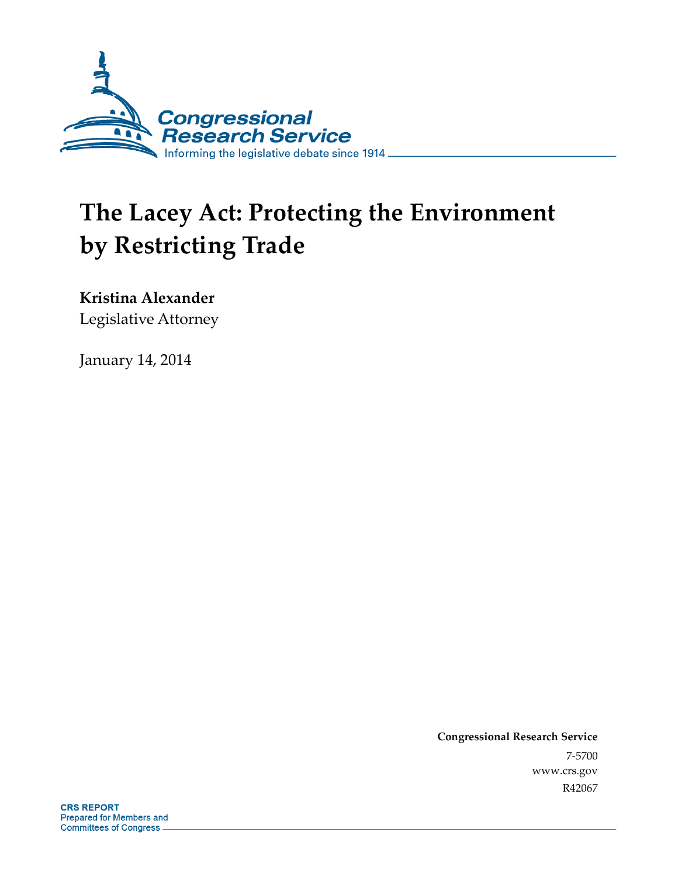

# **The Lacey Act: Protecting the Environment by Restricting Trade**

### **Kristina Alexander**

Legislative Attorney

January 14, 2014

**Congressional Research Service**  7-5700 www.crs.gov R42067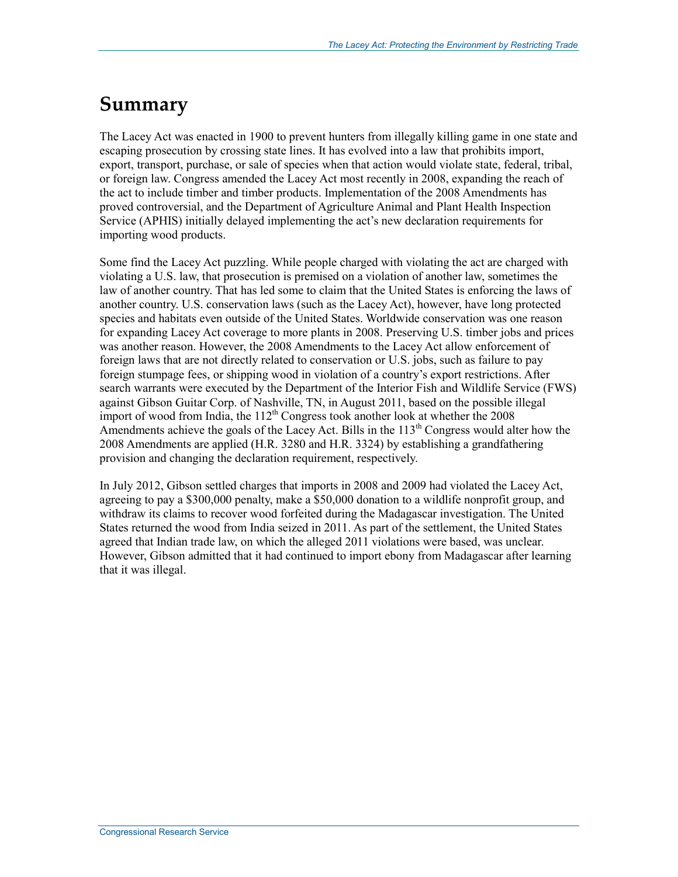## **Summary**

The Lacey Act was enacted in 1900 to prevent hunters from illegally killing game in one state and escaping prosecution by crossing state lines. It has evolved into a law that prohibits import, export, transport, purchase, or sale of species when that action would violate state, federal, tribal, or foreign law. Congress amended the Lacey Act most recently in 2008, expanding the reach of the act to include timber and timber products. Implementation of the 2008 Amendments has proved controversial, and the Department of Agriculture Animal and Plant Health Inspection Service (APHIS) initially delayed implementing the act's new declaration requirements for importing wood products.

Some find the Lacey Act puzzling. While people charged with violating the act are charged with violating a U.S. law, that prosecution is premised on a violation of another law, sometimes the law of another country. That has led some to claim that the United States is enforcing the laws of another country. U.S. conservation laws (such as the Lacey Act), however, have long protected species and habitats even outside of the United States. Worldwide conservation was one reason for expanding Lacey Act coverage to more plants in 2008. Preserving U.S. timber jobs and prices was another reason. However, the 2008 Amendments to the Lacey Act allow enforcement of foreign laws that are not directly related to conservation or U.S. jobs, such as failure to pay foreign stumpage fees, or shipping wood in violation of a country's export restrictions. After search warrants were executed by the Department of the Interior Fish and Wildlife Service (FWS) against Gibson Guitar Corp. of Nashville, TN, in August 2011, based on the possible illegal import of wood from India, the  $112<sup>th</sup>$  Congress took another look at whether the 2008 Amendments achieve the goals of the Lacey Act. Bills in the  $113<sup>th</sup>$  Congress would alter how the 2008 Amendments are applied (H.R. 3280 and H.R. 3324) by establishing a grandfathering provision and changing the declaration requirement, respectively.

In July 2012, Gibson settled charges that imports in 2008 and 2009 had violated the Lacey Act, agreeing to pay a \$300,000 penalty, make a \$50,000 donation to a wildlife nonprofit group, and withdraw its claims to recover wood forfeited during the Madagascar investigation. The United States returned the wood from India seized in 2011. As part of the settlement, the United States agreed that Indian trade law, on which the alleged 2011 violations were based, was unclear. However, Gibson admitted that it had continued to import ebony from Madagascar after learning that it was illegal.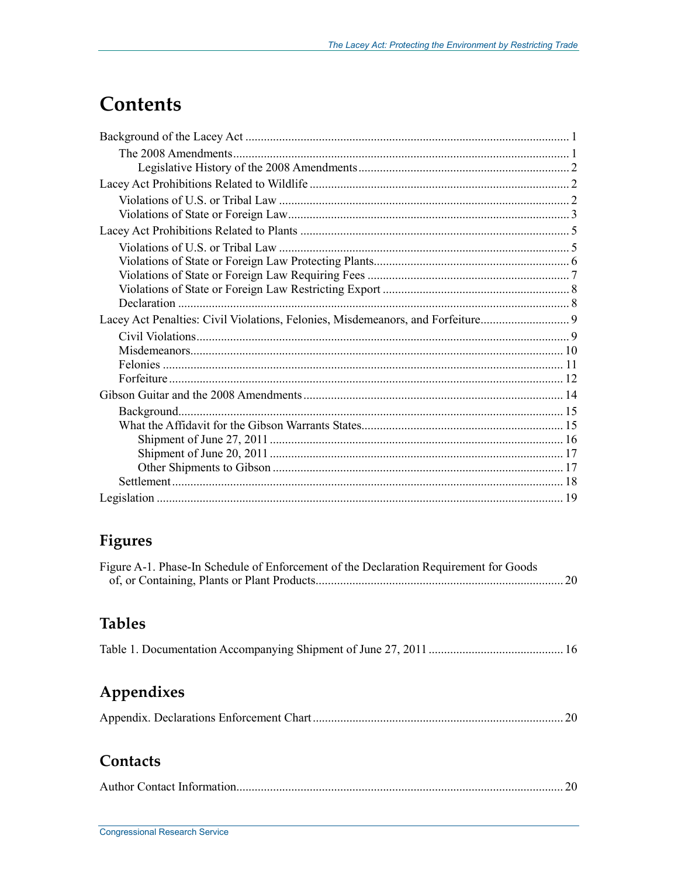## **Contents**

## Figures

| Figure A-1. Phase-In Schedule of Enforcement of the Declaration Requirement for Goods |  |
|---------------------------------------------------------------------------------------|--|
|                                                                                       |  |

### **Tables**

|--|--|

## Appendixes

|--|--|--|

### Contacts

|--|--|--|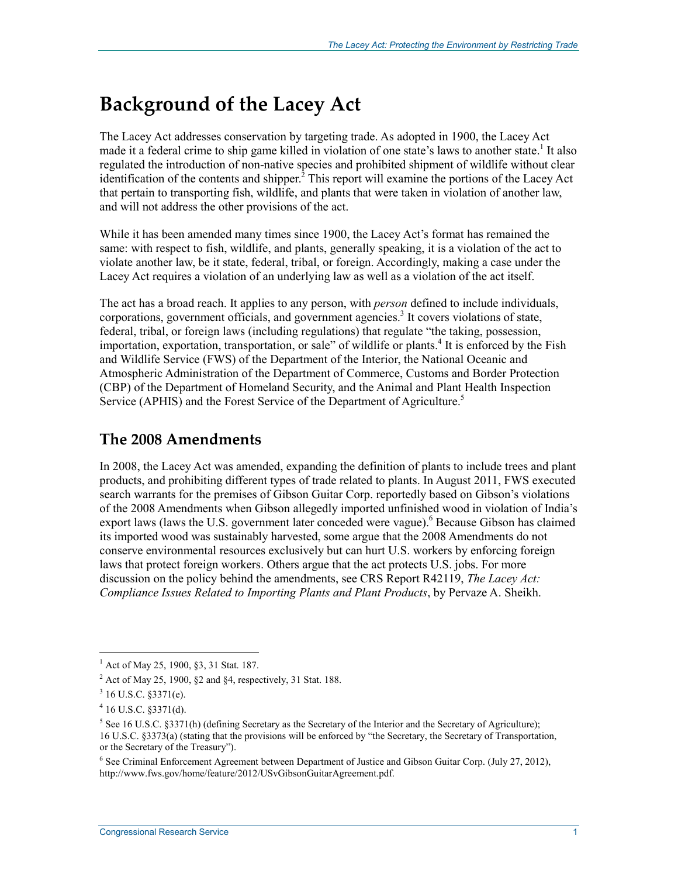## **Background of the Lacey Act**

The Lacey Act addresses conservation by targeting trade. As adopted in 1900, the Lacey Act made it a federal crime to ship game killed in violation of one state's laws to another state.<sup>1</sup> It also regulated the introduction of non-native species and prohibited shipment of wildlife without clear identification of the contents and shipper. ${}^{2}$  This report will examine the portions of the Lacey Act that pertain to transporting fish, wildlife, and plants that were taken in violation of another law, and will not address the other provisions of the act.

While it has been amended many times since 1900, the Lacey Act's format has remained the same: with respect to fish, wildlife, and plants, generally speaking, it is a violation of the act to violate another law, be it state, federal, tribal, or foreign. Accordingly, making a case under the Lacey Act requires a violation of an underlying law as well as a violation of the act itself.

The act has a broad reach. It applies to any person, with *person* defined to include individuals, corporations, government officials, and government agencies.<sup>3</sup> It covers violations of state, federal, tribal, or foreign laws (including regulations) that regulate "the taking, possession, importation, exportation, transportation, or sale" of wildlife or plants.<sup>4</sup> It is enforced by the Fish and Wildlife Service (FWS) of the Department of the Interior, the National Oceanic and Atmospheric Administration of the Department of Commerce, Customs and Border Protection (CBP) of the Department of Homeland Security, and the Animal and Plant Health Inspection Service (APHIS) and the Forest Service of the Department of Agriculture.<sup>5</sup>

### **The 2008 Amendments**

In 2008, the Lacey Act was amended, expanding the definition of plants to include trees and plant products, and prohibiting different types of trade related to plants. In August 2011, FWS executed search warrants for the premises of Gibson Guitar Corp. reportedly based on Gibson's violations of the 2008 Amendments when Gibson allegedly imported unfinished wood in violation of India's export laws (laws the U.S. government later conceded were vague). <sup>6</sup> Because Gibson has claimed its imported wood was sustainably harvested, some argue that the 2008 Amendments do not conserve environmental resources exclusively but can hurt U.S. workers by enforcing foreign laws that protect foreign workers. Others argue that the act protects U.S. jobs. For more discussion on the policy behind the amendments, see CRS Report R42119, *The Lacey Act: Compliance Issues Related to Importing Plants and Plant Products*, by Pervaze A. Sheikh.

<sup>&</sup>lt;sup>1</sup> Act of May 25, 1900, §3, 31 Stat. 187.

 $2^2$  Act of May 25, 1900, §2 and §4, respectively, 31 Stat. 188.

 $3$  16 U.S.C. §3371(e).

 $4$  16 U.S.C. §3371(d).

 $<sup>5</sup>$  See 16 U.S.C. §3371(h) (defining Secretary as the Secretary of the Interior and the Secretary of Agriculture);</sup> 16 U.S.C. §3373(a) (stating that the provisions will be enforced by "the Secretary, the Secretary of Transportation, or the Secretary of the Treasury").

<sup>&</sup>lt;sup>6</sup> See Criminal Enforcement Agreement between Department of Justice and Gibson Guitar Corp. (July 27, 2012), http://www.fws.gov/home/feature/2012/USvGibsonGuitarAgreement.pdf.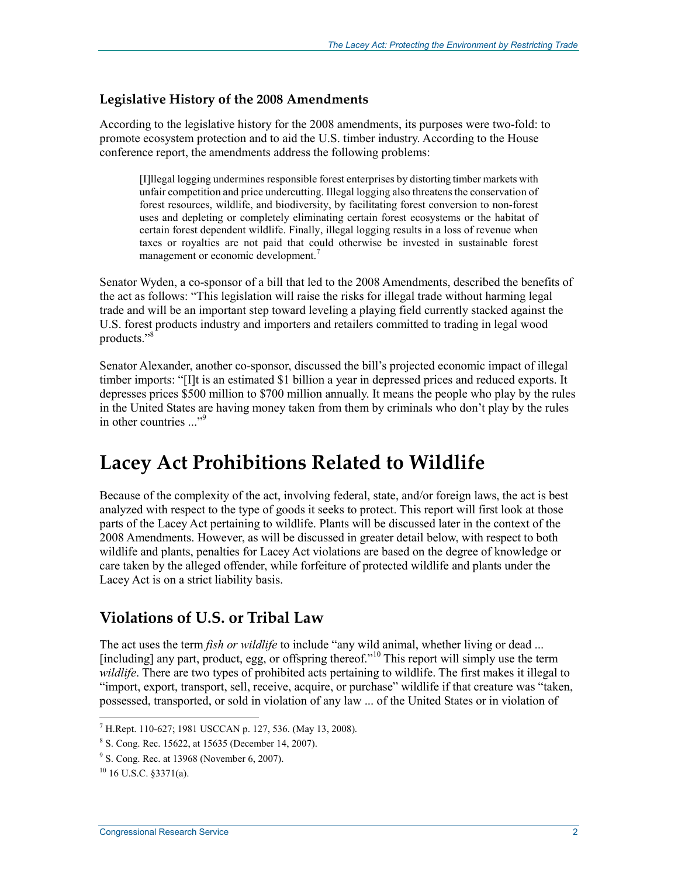### **Legislative History of the 2008 Amendments**

According to the legislative history for the 2008 amendments, its purposes were two-fold: to promote ecosystem protection and to aid the U.S. timber industry. According to the House conference report, the amendments address the following problems:

[I]llegal logging undermines responsible forest enterprises by distorting timber markets with unfair competition and price undercutting. Illegal logging also threatens the conservation of forest resources, wildlife, and biodiversity, by facilitating forest conversion to non-forest uses and depleting or completely eliminating certain forest ecosystems or the habitat of certain forest dependent wildlife. Finally, illegal logging results in a loss of revenue when taxes or royalties are not paid that could otherwise be invested in sustainable forest management or economic development.<sup>7</sup>

Senator Wyden, a co-sponsor of a bill that led to the 2008 Amendments, described the benefits of the act as follows: "This legislation will raise the risks for illegal trade without harming legal trade and will be an important step toward leveling a playing field currently stacked against the U.S. forest products industry and importers and retailers committed to trading in legal wood products."<sup>8</sup>

Senator Alexander, another co-sponsor, discussed the bill's projected economic impact of illegal timber imports: "[I]t is an estimated \$1 billion a year in depressed prices and reduced exports. It depresses prices \$500 million to \$700 million annually. It means the people who play by the rules in the United States are having money taken from them by criminals who don't play by the rules in other countries ..."<sup>9</sup>

## **Lacey Act Prohibitions Related to Wildlife**

Because of the complexity of the act, involving federal, state, and/or foreign laws, the act is best analyzed with respect to the type of goods it seeks to protect. This report will first look at those parts of the Lacey Act pertaining to wildlife. Plants will be discussed later in the context of the 2008 Amendments. However, as will be discussed in greater detail below, with respect to both wildlife and plants, penalties for Lacey Act violations are based on the degree of knowledge or care taken by the alleged offender, while forfeiture of protected wildlife and plants under the Lacey Act is on a strict liability basis.

### **Violations of U.S. or Tribal Law**

The act uses the term *fish or wildlife* to include "any wild animal, whether living or dead ... [including] any part, product, egg, or offspring thereof."<sup>10</sup> This report will simply use the term *wildlife*. There are two types of prohibited acts pertaining to wildlife. The first makes it illegal to "import, export, transport, sell, receive, acquire, or purchase" wildlife if that creature was "taken, possessed, transported, or sold in violation of any law ... of the United States or in violation of

 7 H.Rept. 110-627; 1981 USCCAN p. 127, 536. (May 13, 2008).

<sup>8</sup> S. Cong. Rec. 15622, at 15635 (December 14, 2007).

<sup>&</sup>lt;sup>9</sup> S. Cong. Rec. at 13968 (November 6, 2007).

 $^{10}$  16 U.S.C. 83371(a).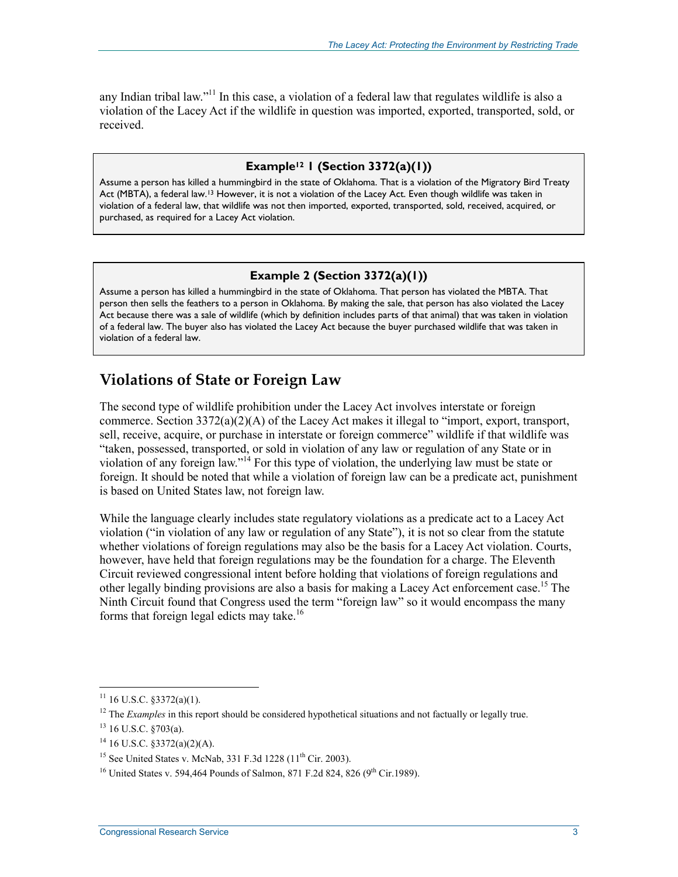any Indian tribal law."<sup>11</sup> In this case, a violation of a federal law that regulates wildlife is also a violation of the Lacey Act if the wildlife in question was imported, exported, transported, sold, or received.

#### **Example12 1 (Section 3372(a)(1))**

Assume a person has killed a hummingbird in the state of Oklahoma. That is a violation of the Migratory Bird Treaty Act (MBTA), a federal law.13 However, it is not a violation of the Lacey Act. Even though wildlife was taken in violation of a federal law, that wildlife was not then imported, exported, transported, sold, received, acquired, or purchased, as required for a Lacey Act violation.

#### **Example 2 (Section 3372(a)(1))**

Assume a person has killed a hummingbird in the state of Oklahoma. That person has violated the MBTA. That person then sells the feathers to a person in Oklahoma. By making the sale, that person has also violated the Lacey Act because there was a sale of wildlife (which by definition includes parts of that animal) that was taken in violation of a federal law. The buyer also has violated the Lacey Act because the buyer purchased wildlife that was taken in violation of a federal law.

### **Violations of State or Foreign Law**

The second type of wildlife prohibition under the Lacey Act involves interstate or foreign commerce. Section 3372(a)(2)(A) of the Lacey Act makes it illegal to "import, export, transport, sell, receive, acquire, or purchase in interstate or foreign commerce" wildlife if that wildlife was "taken, possessed, transported, or sold in violation of any law or regulation of any State or in violation of any foreign law."14 For this type of violation, the underlying law must be state or foreign. It should be noted that while a violation of foreign law can be a predicate act, punishment is based on United States law, not foreign law.

While the language clearly includes state regulatory violations as a predicate act to a Lacey Act violation ("in violation of any law or regulation of any State"), it is not so clear from the statute whether violations of foreign regulations may also be the basis for a Lacey Act violation. Courts, however, have held that foreign regulations may be the foundation for a charge. The Eleventh Circuit reviewed congressional intent before holding that violations of foreign regulations and other legally binding provisions are also a basis for making a Lacey Act enforcement case.<sup>15</sup> The Ninth Circuit found that Congress used the term "foreign law" so it would encompass the many forms that foreign legal edicts may take.16

 $11$  16 U.S.C. §3372(a)(1).

<sup>&</sup>lt;sup>12</sup> The *Examples* in this report should be considered hypothetical situations and not factually or legally true.

 $13$  16 U.S.C. §703(a).

 $14$  16 U.S.C. §3372(a)(2)(A).

<sup>&</sup>lt;sup>15</sup> See United States v. McNab, 331 F.3d 1228 (11<sup>th</sup> Cir. 2003).

<sup>&</sup>lt;sup>16</sup> United States v. 594,464 Pounds of Salmon, 871 F.2d 824, 826 (9<sup>th</sup> Cir.1989).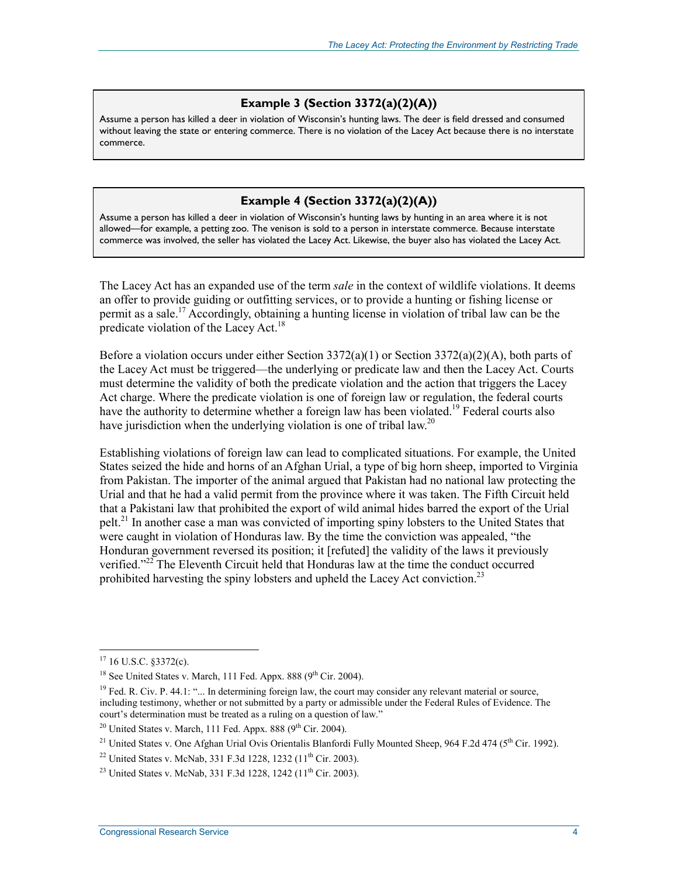#### **Example 3 (Section 3372(a)(2)(A))**

Assume a person has killed a deer in violation of Wisconsin's hunting laws. The deer is field dressed and consumed without leaving the state or entering commerce. There is no violation of the Lacey Act because there is no interstate commerce.

#### **Example 4 (Section 3372(a)(2)(A))**

Assume a person has killed a deer in violation of Wisconsin's hunting laws by hunting in an area where it is not allowed—for example, a petting zoo. The venison is sold to a person in interstate commerce. Because interstate commerce was involved, the seller has violated the Lacey Act. Likewise, the buyer also has violated the Lacey Act.

The Lacey Act has an expanded use of the term *sale* in the context of wildlife violations. It deems an offer to provide guiding or outfitting services, or to provide a hunting or fishing license or permit as a sale.<sup>17</sup> Accordingly, obtaining a hunting license in violation of tribal law can be the predicate violation of the Lacey Act.<sup>18</sup>

Before a violation occurs under either Section 3372(a)(1) or Section 3372(a)(2)(A), both parts of the Lacey Act must be triggered—the underlying or predicate law and then the Lacey Act. Courts must determine the validity of both the predicate violation and the action that triggers the Lacey Act charge. Where the predicate violation is one of foreign law or regulation, the federal courts have the authority to determine whether a foreign law has been violated.<sup>19</sup> Federal courts also have jurisdiction when the underlying violation is one of tribal law.<sup>20</sup>

Establishing violations of foreign law can lead to complicated situations. For example, the United States seized the hide and horns of an Afghan Urial, a type of big horn sheep, imported to Virginia from Pakistan. The importer of the animal argued that Pakistan had no national law protecting the Urial and that he had a valid permit from the province where it was taken. The Fifth Circuit held that a Pakistani law that prohibited the export of wild animal hides barred the export of the Urial pelt.<sup>21</sup> In another case a man was convicted of importing spiny lobsters to the United States that were caught in violation of Honduras law. By the time the conviction was appealed, "the Honduran government reversed its position; it [refuted] the validity of the laws it previously verified."<sup>22</sup> The Eleventh Circuit held that Honduras law at the time the conduct occurred prohibited harvesting the spiny lobsters and upheld the Lacey Act conviction.<sup>23</sup>

 $17$  16 U.S.C. §3372(c).

 $18$  See United States v. March, 111 Fed. Appx. 888 ( $9<sup>th</sup>$  Cir. 2004).

 $19$  Fed. R. Civ. P. 44.1: "... In determining foreign law, the court may consider any relevant material or source, including testimony, whether or not submitted by a party or admissible under the Federal Rules of Evidence. The court's determination must be treated as a ruling on a question of law."

<sup>&</sup>lt;sup>20</sup> United States v. March, 111 Fed. Appx. 888 ( $9<sup>th</sup>$  Cir. 2004).

<sup>&</sup>lt;sup>21</sup> United States v. One Afghan Urial Ovis Orientalis Blanfordi Fully Mounted Sheep, 964 F.2d 474 (5<sup>th</sup> Cir. 1992).

<sup>&</sup>lt;sup>22</sup> United States v. McNab, 331 F.3d 1228, 1232 (11<sup>th</sup> Cir. 2003).

<sup>&</sup>lt;sup>23</sup> United States v. McNab, 331 F.3d 1228, 1242 (11<sup>th</sup> Cir. 2003).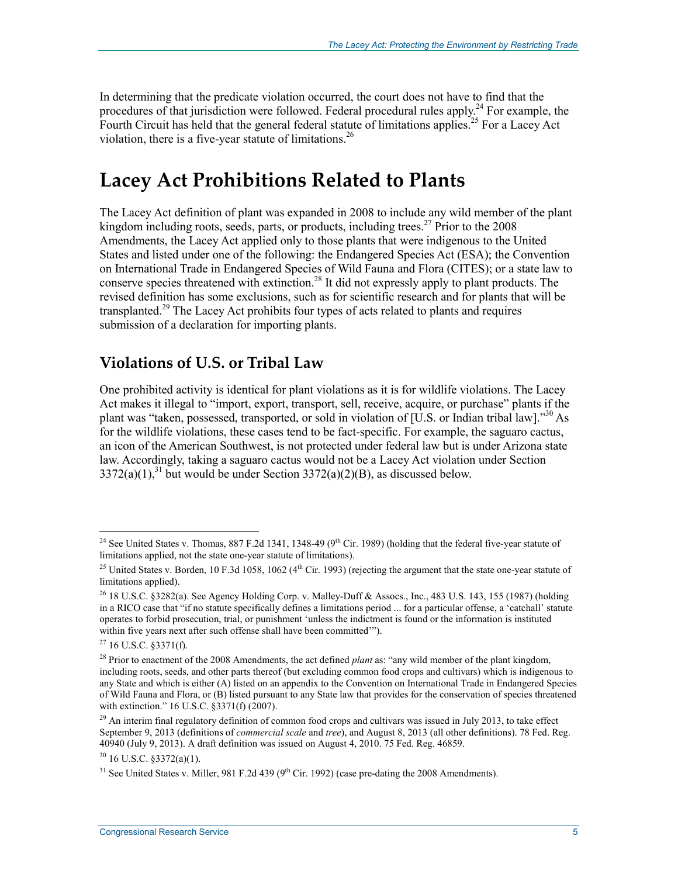In determining that the predicate violation occurred, the court does not have to find that the procedures of that jurisdiction were followed. Federal procedural rules apply.<sup>24</sup> For example, the Fourth Circuit has held that the general federal statute of limitations applies.<sup>25</sup> For a Lacey Act violation, there is a five-year statute of limitations.<sup>26</sup>

## **Lacey Act Prohibitions Related to Plants**

The Lacey Act definition of plant was expanded in 2008 to include any wild member of the plant kingdom including roots, seeds, parts, or products, including trees.<sup>27</sup> Prior to the  $2008$ Amendments, the Lacey Act applied only to those plants that were indigenous to the United States and listed under one of the following: the Endangered Species Act (ESA); the Convention on International Trade in Endangered Species of Wild Fauna and Flora (CITES); or a state law to conserve species threatened with extinction.<sup>28</sup> It did not expressly apply to plant products. The revised definition has some exclusions, such as for scientific research and for plants that will be transplanted.<sup>29</sup> The Lacey Act prohibits four types of acts related to plants and requires submission of a declaration for importing plants.

### **Violations of U.S. or Tribal Law**

One prohibited activity is identical for plant violations as it is for wildlife violations. The Lacey Act makes it illegal to "import, export, transport, sell, receive, acquire, or purchase" plants if the plant was "taken, possessed, transported, or sold in violation of [U.S. or Indian tribal law]."30 As for the wildlife violations, these cases tend to be fact-specific. For example, the saguaro cactus, an icon of the American Southwest, is not protected under federal law but is under Arizona state law. Accordingly, taking a saguaro cactus would not be a Lacey Act violation under Section  $3372(a)(1)$ ,<sup>31</sup> but would be under Section  $3372(a)(2)(B)$ , as discussed below.

<u>.</u>

 $30$  16 U.S.C.  $\frac{$372(a)(1)}{2}$ .

<sup>&</sup>lt;sup>24</sup> See United States v. Thomas, 887 F.2d 1341, 1348-49 (9<sup>th</sup> Cir. 1989) (holding that the federal five-year statute of limitations applied, not the state one-year statute of limitations).

<sup>&</sup>lt;sup>25</sup> United States v. Borden, 10 F.3d 1058, 1062 ( $4<sup>th</sup>$  Cir. 1993) (rejecting the argument that the state one-year statute of limitations applied).

<sup>26 18</sup> U.S.C. §3282(a). See Agency Holding Corp. v. Malley-Duff & Assocs., Inc., 483 U.S. 143, 155 (1987) (holding in a RICO case that "if no statute specifically defines a limitations period ... for a particular offense, a 'catchall' statute operates to forbid prosecution, trial, or punishment 'unless the indictment is found or the information is instituted within five years next after such offense shall have been committed'").

 $27$  16 U.S.C. §3371(f).

<sup>28</sup> Prior to enactment of the 2008 Amendments, the act defined *plant* as: "any wild member of the plant kingdom, including roots, seeds, and other parts thereof (but excluding common food crops and cultivars) which is indigenous to any State and which is either (A) listed on an appendix to the Convention on International Trade in Endangered Species of Wild Fauna and Flora, or (B) listed pursuant to any State law that provides for the conservation of species threatened with extinction." 16 U.S.C. §3371(f) (2007).

 $^{29}$  An interim final regulatory definition of common food crops and cultivars was issued in July 2013, to take effect September 9, 2013 (definitions of *commercial scale* and *tree*), and August 8, 2013 (all other definitions). 78 Fed. Reg. 40940 (July 9, 2013). A draft definition was issued on August 4, 2010. 75 Fed. Reg. 46859.

 $31$  See United States v. Miller, 981 F.2d 439 (9<sup>th</sup> Cir. 1992) (case pre-dating the 2008 Amendments).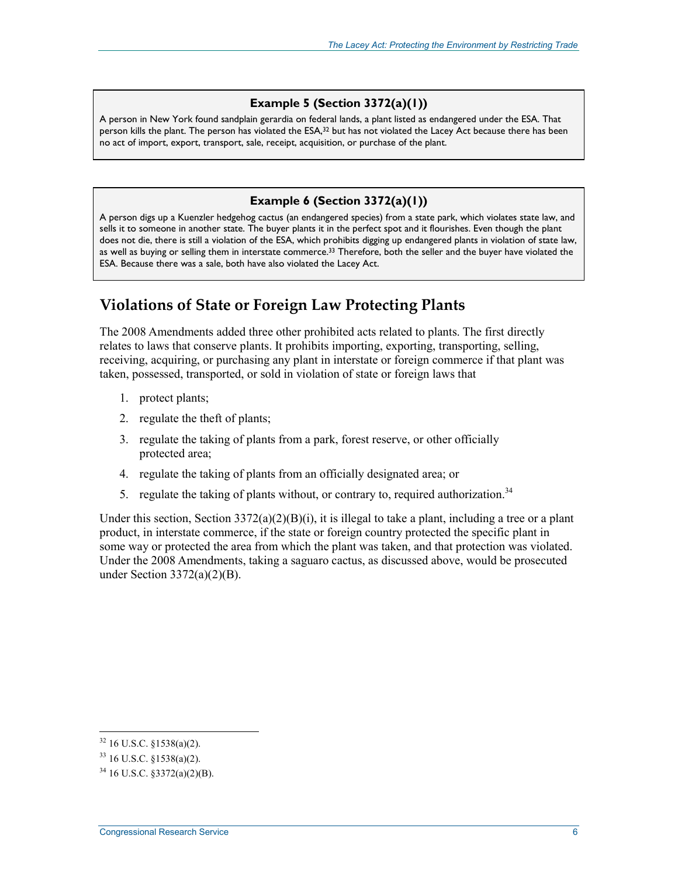#### **Example 5 (Section 3372(a)(1))**

A person in New York found sandplain gerardia on federal lands, a plant listed as endangered under the ESA. That person kills the plant. The person has violated the ESA,<sup>32</sup> but has not violated the Lacey Act because there has been no act of import, export, transport, sale, receipt, acquisition, or purchase of the plant.

#### **Example 6 (Section 3372(a)(1))**

A person digs up a Kuenzler hedgehog cactus (an endangered species) from a state park, which violates state law, and sells it to someone in another state. The buyer plants it in the perfect spot and it flourishes. Even though the plant does not die, there is still a violation of the ESA, which prohibits digging up endangered plants in violation of state law, as well as buying or selling them in interstate commerce.<sup>33</sup> Therefore, both the seller and the buyer have violated the ESA. Because there was a sale, both have also violated the Lacey Act.

### **Violations of State or Foreign Law Protecting Plants**

The 2008 Amendments added three other prohibited acts related to plants. The first directly relates to laws that conserve plants. It prohibits importing, exporting, transporting, selling, receiving, acquiring, or purchasing any plant in interstate or foreign commerce if that plant was taken, possessed, transported, or sold in violation of state or foreign laws that

- 1. protect plants;
- 2. regulate the theft of plants;
- 3. regulate the taking of plants from a park, forest reserve, or other officially protected area;
- 4. regulate the taking of plants from an officially designated area; or
- 5. regulate the taking of plants without, or contrary to, required authorization.<sup>34</sup>

Under this section, Section  $3372(a)(2)(B)(i)$ , it is illegal to take a plant, including a tree or a plant product, in interstate commerce, if the state or foreign country protected the specific plant in some way or protected the area from which the plant was taken, and that protection was violated. Under the 2008 Amendments, taking a saguaro cactus, as discussed above, would be prosecuted under Section 3372(a)(2)(B).

 $32$  16 U.S.C. §1538(a)(2).

<sup>33 16</sup> U.S.C. §1538(a)(2).

 $34$  16 U.S.C.  $$3372(a)(2)(B)$ .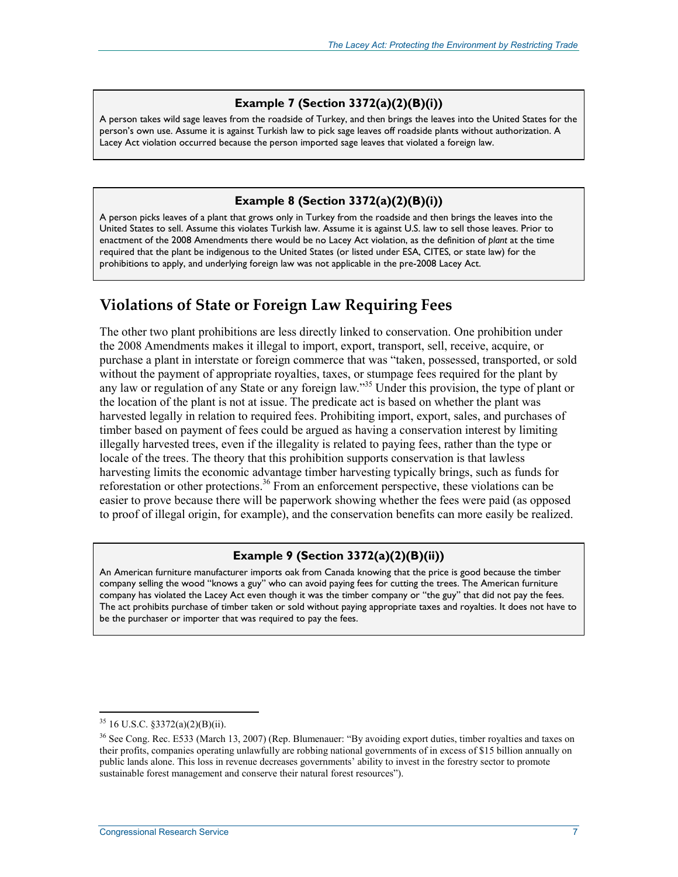#### **Example 7 (Section 3372(a)(2)(B)(i))**

A person takes wild sage leaves from the roadside of Turkey, and then brings the leaves into the United States for the person's own use. Assume it is against Turkish law to pick sage leaves off roadside plants without authorization. A Lacey Act violation occurred because the person imported sage leaves that violated a foreign law.

#### **Example 8 (Section 3372(a)(2)(B)(i))**

A person picks leaves of a plant that grows only in Turkey from the roadside and then brings the leaves into the United States to sell. Assume this violates Turkish law. Assume it is against U.S. law to sell those leaves. Prior to enactment of the 2008 Amendments there would be no Lacey Act violation, as the definition of *plant* at the time required that the plant be indigenous to the United States (or listed under ESA, CITES, or state law) for the prohibitions to apply, and underlying foreign law was not applicable in the pre-2008 Lacey Act.

### **Violations of State or Foreign Law Requiring Fees**

The other two plant prohibitions are less directly linked to conservation. One prohibition under the 2008 Amendments makes it illegal to import, export, transport, sell, receive, acquire, or purchase a plant in interstate or foreign commerce that was "taken, possessed, transported, or sold without the payment of appropriate royalties, taxes, or stumpage fees required for the plant by any law or regulation of any State or any foreign law."<sup>35</sup> Under this provision, the type of plant or the location of the plant is not at issue. The predicate act is based on whether the plant was harvested legally in relation to required fees. Prohibiting import, export, sales, and purchases of timber based on payment of fees could be argued as having a conservation interest by limiting illegally harvested trees, even if the illegality is related to paying fees, rather than the type or locale of the trees. The theory that this prohibition supports conservation is that lawless harvesting limits the economic advantage timber harvesting typically brings, such as funds for reforestation or other protections.<sup>36</sup> From an enforcement perspective, these violations can be easier to prove because there will be paperwork showing whether the fees were paid (as opposed to proof of illegal origin, for example), and the conservation benefits can more easily be realized.

#### **Example 9 (Section 3372(a)(2)(B)(ii))**

An American furniture manufacturer imports oak from Canada knowing that the price is good because the timber company selling the wood "knows a guy" who can avoid paying fees for cutting the trees. The American furniture company has violated the Lacey Act even though it was the timber company or "the guy" that did not pay the fees. The act prohibits purchase of timber taken or sold without paying appropriate taxes and royalties. It does not have to be the purchaser or importer that was required to pay the fees.

<sup>35 16</sup> U.S.C. §3372(a)(2)(B)(ii).

<sup>36</sup> See Cong. Rec. E533 (March 13, 2007) (Rep. Blumenauer: "By avoiding export duties, timber royalties and taxes on their profits, companies operating unlawfully are robbing national governments of in excess of \$15 billion annually on public lands alone. This loss in revenue decreases governments' ability to invest in the forestry sector to promote sustainable forest management and conserve their natural forest resources").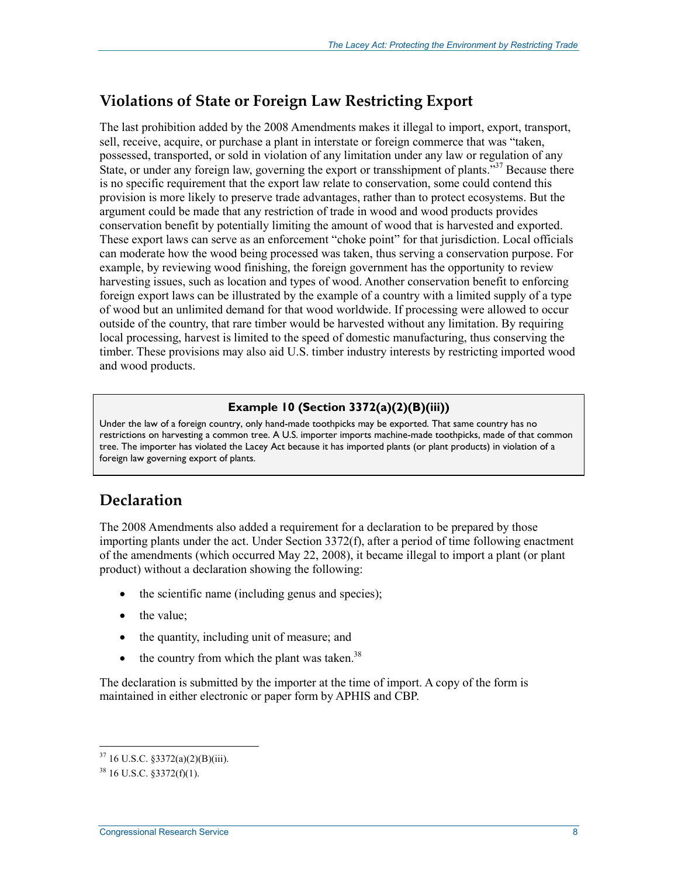### **Violations of State or Foreign Law Restricting Export**

The last prohibition added by the 2008 Amendments makes it illegal to import, export, transport, sell, receive, acquire, or purchase a plant in interstate or foreign commerce that was "taken, possessed, transported, or sold in violation of any limitation under any law or regulation of any State, or under any foreign law, governing the export or transshipment of plants.<sup>537</sup> Because there is no specific requirement that the export law relate to conservation, some could contend this provision is more likely to preserve trade advantages, rather than to protect ecosystems. But the argument could be made that any restriction of trade in wood and wood products provides conservation benefit by potentially limiting the amount of wood that is harvested and exported. These export laws can serve as an enforcement "choke point" for that jurisdiction. Local officials can moderate how the wood being processed was taken, thus serving a conservation purpose. For example, by reviewing wood finishing, the foreign government has the opportunity to review harvesting issues, such as location and types of wood. Another conservation benefit to enforcing foreign export laws can be illustrated by the example of a country with a limited supply of a type of wood but an unlimited demand for that wood worldwide. If processing were allowed to occur outside of the country, that rare timber would be harvested without any limitation. By requiring local processing, harvest is limited to the speed of domestic manufacturing, thus conserving the timber. These provisions may also aid U.S. timber industry interests by restricting imported wood and wood products.

### **Example 10 (Section 3372(a)(2)(B)(iii))**

Under the law of a foreign country, only hand-made toothpicks may be exported. That same country has no restrictions on harvesting a common tree. A U.S. importer imports machine-made toothpicks, made of that common tree. The importer has violated the Lacey Act because it has imported plants (or plant products) in violation of a foreign law governing export of plants.

### **Declaration**

The 2008 Amendments also added a requirement for a declaration to be prepared by those importing plants under the act. Under Section 3372(f), after a period of time following enactment of the amendments (which occurred May 22, 2008), it became illegal to import a plant (or plant product) without a declaration showing the following:

- the scientific name (including genus and species);
- the value;
- the quantity, including unit of measure; and
- $\bullet$  the country from which the plant was taken.<sup>38</sup>

The declaration is submitted by the importer at the time of import. A copy of the form is maintained in either electronic or paper form by APHIS and CBP.

 $37$  16 U.S.C. § 3372(a)(2)(B)(iii).

 $38$  16 U.S.C.  $$3372(f)(1)$ .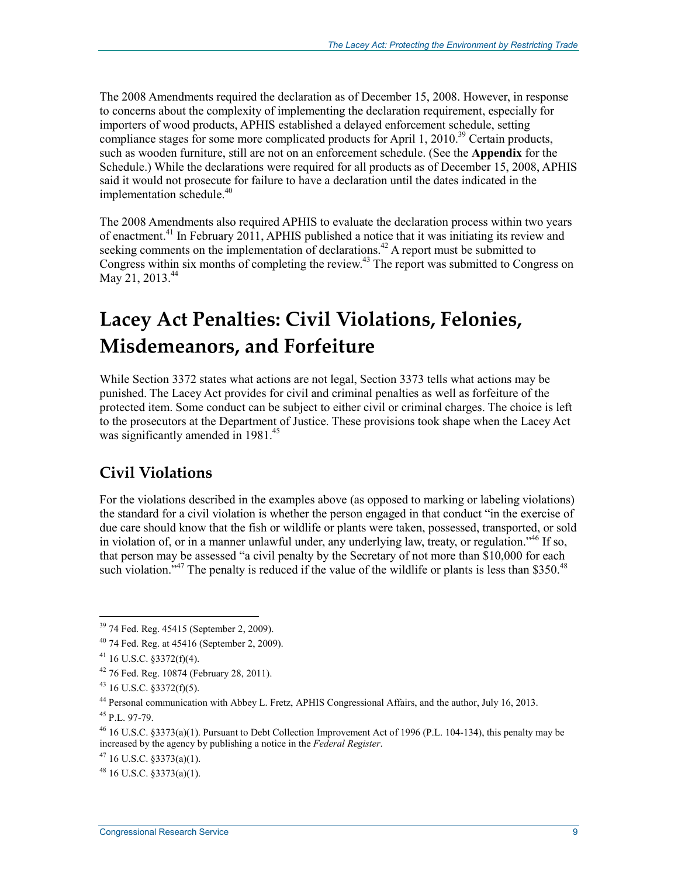The 2008 Amendments required the declaration as of December 15, 2008. However, in response to concerns about the complexity of implementing the declaration requirement, especially for importers of wood products, APHIS established a delayed enforcement schedule, setting compliance stages for some more complicated products for April 1, 2010.<sup>39</sup> Certain products, such as wooden furniture, still are not on an enforcement schedule. (See the **Appendix** for the Schedule.) While the declarations were required for all products as of December 15, 2008, APHIS said it would not prosecute for failure to have a declaration until the dates indicated in the implementation schedule. $40$ 

The 2008 Amendments also required APHIS to evaluate the declaration process within two years of enactment.<sup>41</sup> In February 2011, APHIS published a notice that it was initiating its review and seeking comments on the implementation of declarations.<sup>42</sup> A report must be submitted to Congress within six months of completing the review.<sup>43</sup> The report was submitted to Congress on May 21, 2013.<sup>44</sup>

## **Lacey Act Penalties: Civil Violations, Felonies, Misdemeanors, and Forfeiture**

While Section 3372 states what actions are not legal, Section 3373 tells what actions may be punished. The Lacey Act provides for civil and criminal penalties as well as forfeiture of the protected item. Some conduct can be subject to either civil or criminal charges. The choice is left to the prosecutors at the Department of Justice. These provisions took shape when the Lacey Act was significantly amended in 1981.<sup>45</sup>

### **Civil Violations**

For the violations described in the examples above (as opposed to marking or labeling violations) the standard for a civil violation is whether the person engaged in that conduct "in the exercise of due care should know that the fish or wildlife or plants were taken, possessed, transported, or sold in violation of, or in a manner unlawful under, any underlying law, treaty, or regulation."<sup>46</sup> If so, that person may be assessed "a civil penalty by the Secretary of not more than \$10,000 for each such violation.<sup> $347$ </sup> The penalty is reduced if the value of the wildlife or plants is less than \$350.<sup>48</sup>

<u>.</u>

 $47$  16 U.S.C.  $$3373(a)(1)$ .

 $48$  16 U.S.C.  $83373(a)(1)$ .

<sup>&</sup>lt;sup>39</sup> 74 Fed. Reg. 45415 (September 2, 2009).

<sup>40 74</sup> Fed. Reg. at 45416 (September 2, 2009).

 $41$  16 U.S.C. §3372(f)(4).

<sup>42 76</sup> Fed. Reg. 10874 (February 28, 2011).

 $43$  16 U.S.C. §3372(f)(5).

<sup>44</sup> Personal communication with Abbey L. Fretz, APHIS Congressional Affairs, and the author, July 16, 2013.

 $45$  P.L. 97-79.

 $46$  16 U.S.C. §3373(a)(1). Pursuant to Debt Collection Improvement Act of 1996 (P.L. 104-134), this penalty may be increased by the agency by publishing a notice in the *Federal Register*.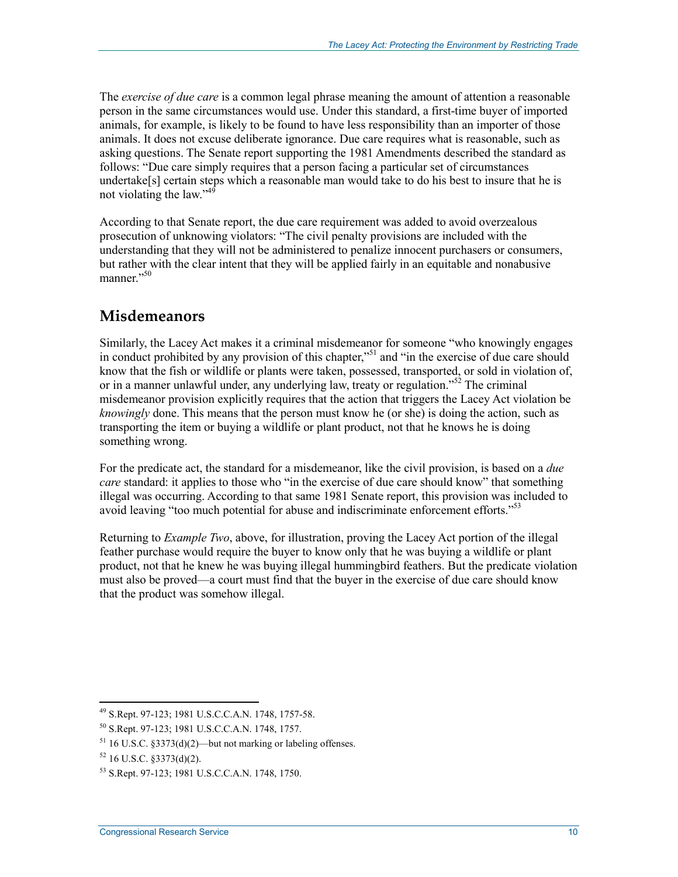The *exercise of due care* is a common legal phrase meaning the amount of attention a reasonable person in the same circumstances would use. Under this standard, a first-time buyer of imported animals, for example, is likely to be found to have less responsibility than an importer of those animals. It does not excuse deliberate ignorance. Due care requires what is reasonable, such as asking questions. The Senate report supporting the 1981 Amendments described the standard as follows: "Due care simply requires that a person facing a particular set of circumstances undertake[s] certain steps which a reasonable man would take to do his best to insure that he is not violating the law."<sup>49</sup>

According to that Senate report, the due care requirement was added to avoid overzealous prosecution of unknowing violators: "The civil penalty provisions are included with the understanding that they will not be administered to penalize innocent purchasers or consumers, but rather with the clear intent that they will be applied fairly in an equitable and nonabusive manner."<sup>50</sup>

### **Misdemeanors**

Similarly, the Lacey Act makes it a criminal misdemeanor for someone "who knowingly engages in conduct prohibited by any provision of this chapter,<sup>"51</sup> and "in the exercise of due care should know that the fish or wildlife or plants were taken, possessed, transported, or sold in violation of, or in a manner unlawful under, any underlying law, treaty or regulation."<sup>52</sup> The criminal misdemeanor provision explicitly requires that the action that triggers the Lacey Act violation be *knowingly* done. This means that the person must know he (or she) is doing the action, such as transporting the item or buying a wildlife or plant product, not that he knows he is doing something wrong.

For the predicate act, the standard for a misdemeanor, like the civil provision, is based on a *due care* standard: it applies to those who "in the exercise of due care should know" that something illegal was occurring. According to that same 1981 Senate report, this provision was included to avoid leaving "too much potential for abuse and indiscriminate enforcement efforts."<sup>53</sup>

Returning to *Example Two*, above, for illustration, proving the Lacey Act portion of the illegal feather purchase would require the buyer to know only that he was buying a wildlife or plant product, not that he knew he was buying illegal hummingbird feathers. But the predicate violation must also be proved—a court must find that the buyer in the exercise of due care should know that the product was somehow illegal.

<sup>49</sup> S.Rept. 97-123; 1981 U.S.C.C.A.N. 1748, 1757-58.

<sup>50</sup> S.Rept. 97-123; 1981 U.S.C.C.A.N. 1748, 1757.

 $51$  16 U.S.C. §3373(d)(2)—but not marking or labeling offenses.

 $52$  16 U.S.C.  $$3373(d)(2)$ .

<sup>53</sup> S.Rept. 97-123; 1981 U.S.C.C.A.N. 1748, 1750.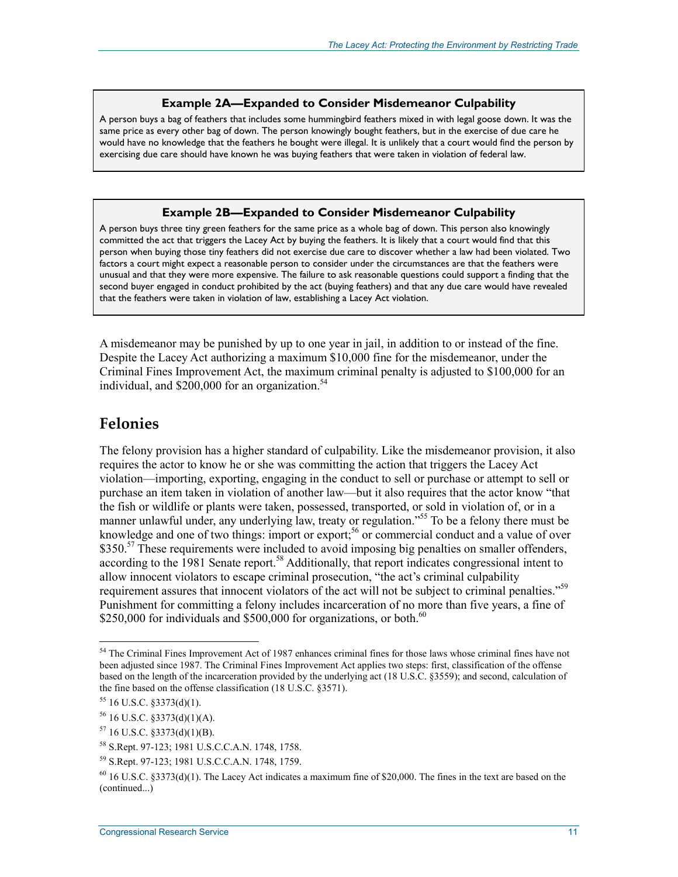#### **Example 2A—Expanded to Consider Misdemeanor Culpability**

A person buys a bag of feathers that includes some hummingbird feathers mixed in with legal goose down. It was the same price as every other bag of down. The person knowingly bought feathers, but in the exercise of due care he would have no knowledge that the feathers he bought were illegal. It is unlikely that a court would find the person by exercising due care should have known he was buying feathers that were taken in violation of federal law.

#### **Example 2B—Expanded to Consider Misdemeanor Culpability**

A person buys three tiny green feathers for the same price as a whole bag of down. This person also knowingly committed the act that triggers the Lacey Act by buying the feathers. It is likely that a court would find that this person when buying those tiny feathers did not exercise due care to discover whether a law had been violated. Two factors a court might expect a reasonable person to consider under the circumstances are that the feathers were unusual and that they were more expensive. The failure to ask reasonable questions could support a finding that the second buyer engaged in conduct prohibited by the act (buying feathers) and that any due care would have revealed that the feathers were taken in violation of law, establishing a Lacey Act violation.

A misdemeanor may be punished by up to one year in jail, in addition to or instead of the fine. Despite the Lacey Act authorizing a maximum \$10,000 fine for the misdemeanor, under the Criminal Fines Improvement Act, the maximum criminal penalty is adjusted to \$100,000 for an individual, and  $$200,000$  for an organization.<sup>54</sup>

### **Felonies**

The felony provision has a higher standard of culpability. Like the misdemeanor provision, it also requires the actor to know he or she was committing the action that triggers the Lacey Act violation—importing, exporting, engaging in the conduct to sell or purchase or attempt to sell or purchase an item taken in violation of another law—but it also requires that the actor know "that the fish or wildlife or plants were taken, possessed, transported, or sold in violation of, or in a manner unlawful under, any underlying law, treaty or regulation."<sup>55</sup> To be a felony there must be knowledge and one of two things: import or export;<sup>56</sup> or commercial conduct and a value of over \$350.<sup>57</sup> These requirements were included to avoid imposing big penalties on smaller offenders, according to the 1981 Senate report.<sup>58</sup> Additionally, that report indicates congressional intent to allow innocent violators to escape criminal prosecution, "the act's criminal culpability requirement assures that innocent violators of the act will not be subject to criminal penalties."59 Punishment for committing a felony includes incarceration of no more than five years, a fine of \$250,000 for individuals and \$500,000 for organizations, or both.<sup>60</sup>

<sup>&</sup>lt;sup>54</sup> The Criminal Fines Improvement Act of 1987 enhances criminal fines for those laws whose criminal fines have not been adjusted since 1987. The Criminal Fines Improvement Act applies two steps: first, classification of the offense based on the length of the incarceration provided by the underlying act (18 U.S.C. §3559); and second, calculation of the fine based on the offense classification (18 U.S.C. §3571).

 $55$  16 U.S.C. §3373(d)(1).

 $56$  16 U.S.C. §3373(d)(1)(A).

 $57$  16 U.S.C. §3373(d)(1)(B).

<sup>58</sup> S.Rept. 97-123; 1981 U.S.C.C.A.N. 1748, 1758.

<sup>59</sup> S.Rept. 97-123; 1981 U.S.C.C.A.N. 1748, 1759.

 $60$  16 U.S.C. §3373(d)(1). The Lacey Act indicates a maximum fine of \$20,000. The fines in the text are based on the (continued...)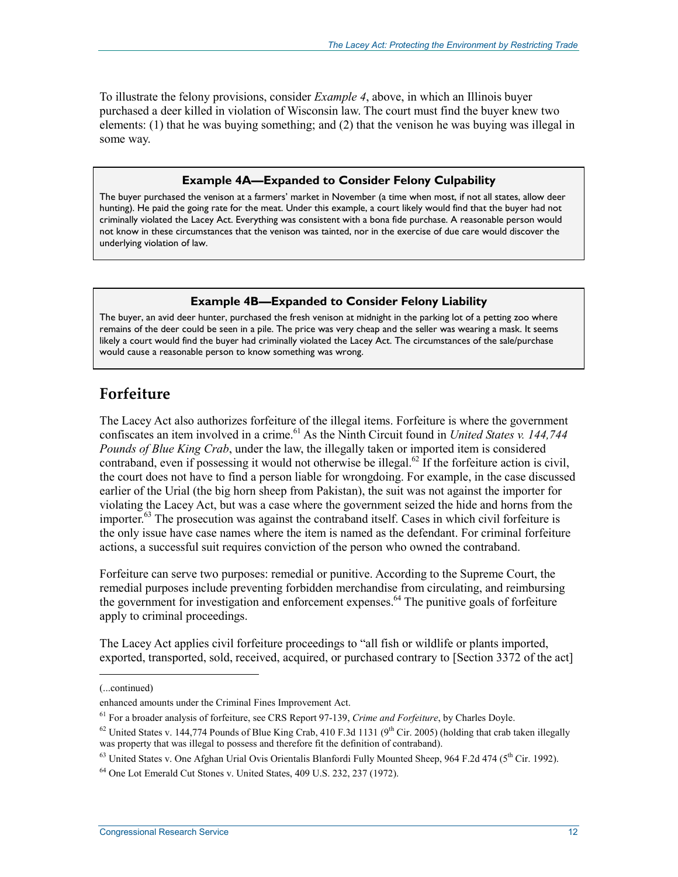To illustrate the felony provisions, consider *Example 4*, above, in which an Illinois buyer purchased a deer killed in violation of Wisconsin law. The court must find the buyer knew two elements: (1) that he was buying something; and (2) that the venison he was buying was illegal in some way.

#### **Example 4A—Expanded to Consider Felony Culpability**

The buyer purchased the venison at a farmers' market in November (a time when most, if not all states, allow deer hunting). He paid the going rate for the meat. Under this example, a court likely would find that the buyer had not criminally violated the Lacey Act. Everything was consistent with a bona fide purchase. A reasonable person would not know in these circumstances that the venison was tainted, nor in the exercise of due care would discover the underlying violation of law.

#### **Example 4B—Expanded to Consider Felony Liability**

The buyer, an avid deer hunter, purchased the fresh venison at midnight in the parking lot of a petting zoo where remains of the deer could be seen in a pile. The price was very cheap and the seller was wearing a mask. It seems likely a court would find the buyer had criminally violated the Lacey Act. The circumstances of the sale/purchase would cause a reasonable person to know something was wrong.

### **Forfeiture**

The Lacey Act also authorizes forfeiture of the illegal items. Forfeiture is where the government confiscates an item involved in a crime.<sup>61</sup> As the Ninth Circuit found in *United States v. 144,744 Pounds of Blue King Crab*, under the law, the illegally taken or imported item is considered contraband, even if possessing it would not otherwise be illegal.<sup>62</sup> If the forfeiture action is civil, the court does not have to find a person liable for wrongdoing. For example, in the case discussed earlier of the Urial (the big horn sheep from Pakistan), the suit was not against the importer for violating the Lacey Act, but was a case where the government seized the hide and horns from the importer.<sup>63</sup> The prosecution was against the contraband itself. Cases in which civil forfeiture is the only issue have case names where the item is named as the defendant. For criminal forfeiture actions, a successful suit requires conviction of the person who owned the contraband.

Forfeiture can serve two purposes: remedial or punitive. According to the Supreme Court, the remedial purposes include preventing forbidden merchandise from circulating, and reimbursing the government for investigation and enforcement expenses.<sup>64</sup> The punitive goals of forfeiture apply to criminal proceedings.

The Lacey Act applies civil forfeiture proceedings to "all fish or wildlife or plants imported, exported, transported, sold, received, acquired, or purchased contrary to [Section 3372 of the act]

1

<sup>63</sup> United States v. One Afghan Urial Ovis Orientalis Blanfordi Fully Mounted Sheep, 964 F.2d 474 (5<sup>th</sup> Cir. 1992).

<sup>(...</sup>continued)

enhanced amounts under the Criminal Fines Improvement Act.

<sup>61</sup> For a broader analysis of forfeiture, see CRS Report 97-139, *Crime and Forfeiture*, by Charles Doyle.

 $^{62}$  United States v. 144,774 Pounds of Blue King Crab, 410 F.3d 1131 (9<sup>th</sup> Cir. 2005) (holding that crab taken illegally was property that was illegal to possess and therefore fit the definition of contraband).

<sup>64</sup> One Lot Emerald Cut Stones v. United States, 409 U.S. 232, 237 (1972).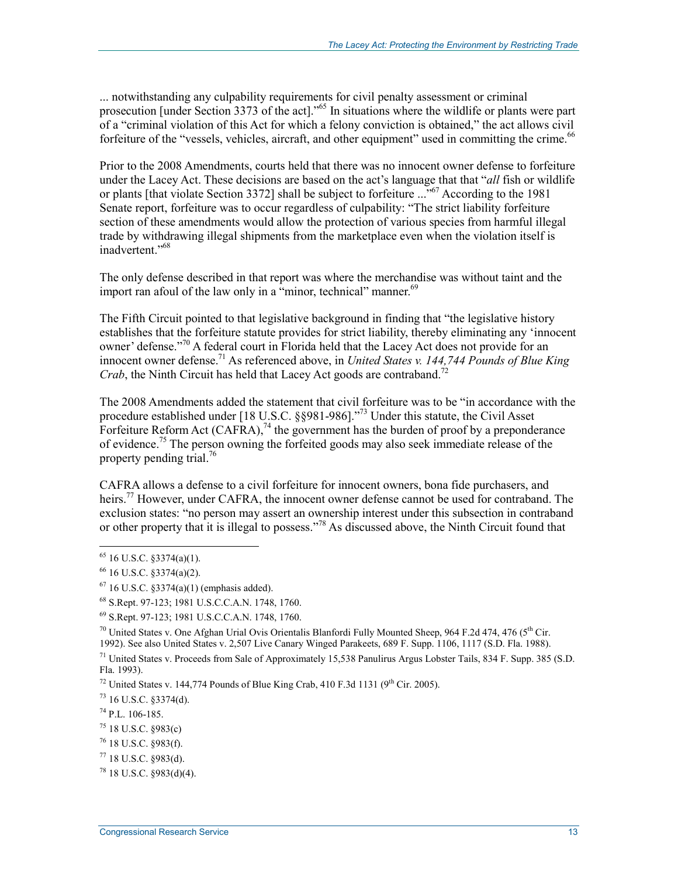... notwithstanding any culpability requirements for civil penalty assessment or criminal prosecution [under Section 3373 of the act]."<sup>65</sup> In situations where the wildlife or plants were part of a "criminal violation of this Act for which a felony conviction is obtained," the act allows civil forfeiture of the "vessels, vehicles, aircraft, and other equipment" used in committing the crime.<sup>66</sup>

Prior to the 2008 Amendments, courts held that there was no innocent owner defense to forfeiture under the Lacey Act. These decisions are based on the act's language that that "*all* fish or wildlife or plants [that violate Section 3372] shall be subject to forfeiture ..."67 According to the 1981 Senate report, forfeiture was to occur regardless of culpability: "The strict liability forfeiture section of these amendments would allow the protection of various species from harmful illegal trade by withdrawing illegal shipments from the marketplace even when the violation itself is inadvertent."<sup>68</sup>

The only defense described in that report was where the merchandise was without taint and the import ran afoul of the law only in a "minor, technical" manner.<sup>69</sup>

The Fifth Circuit pointed to that legislative background in finding that "the legislative history establishes that the forfeiture statute provides for strict liability, thereby eliminating any 'innocent owner' defense."<sup>70</sup> A federal court in Florida held that the Lacey Act does not provide for an innocent owner defense.71 As referenced above, in *United States v. 144,744 Pounds of Blue King Crab*, the Ninth Circuit has held that Lacey Act goods are contraband.<sup>72</sup>

The 2008 Amendments added the statement that civil forfeiture was to be "in accordance with the procedure established under [18 U.S.C. §§981-986]."<sup>73</sup> Under this statute, the Civil Asset Forfeiture Reform Act (CAFRA),<sup>74</sup> the government has the burden of proof by a preponderance of evidence.<sup>75</sup> The person owning the forfeited goods may also seek immediate release of the property pending trial.<sup>76</sup>

CAFRA allows a defense to a civil forfeiture for innocent owners, bona fide purchasers, and heirs.<sup>77</sup> However, under CAFRA, the innocent owner defense cannot be used for contraband. The exclusion states: "no person may assert an ownership interest under this subsection in contraband or other property that it is illegal to possess."78 As discussed above, the Ninth Circuit found that

<u>.</u>

<sup>72</sup> United States v. 144,774 Pounds of Blue King Crab, 410 F.3d 1131 (9<sup>th</sup> Cir. 2005).

 $73$  16 U.S.C. §3374(d).

74 P.L. 106-185.

 $65$  16 U.S.C. §3374(a)(1).

 $66$  16 U.S.C. §3374(a)(2).

 $67$  16 U.S.C. §3374(a)(1) (emphasis added).

<sup>68</sup> S.Rept. 97-123; 1981 U.S.C.C.A.N. 1748, 1760.

<sup>69</sup> S.Rept. 97-123; 1981 U.S.C.C.A.N. 1748, 1760.

<sup>&</sup>lt;sup>70</sup> United States v. One Afghan Urial Ovis Orientalis Blanfordi Fully Mounted Sheep, 964 F.2d 474, 476 (5<sup>th</sup> Cir. 1992). See also United States v. 2,507 Live Canary Winged Parakeets, 689 F. Supp. 1106, 1117 (S.D. Fla. 1988).

 $71$  United States v. Proceeds from Sale of Approximately 15,538 Panulirus Argus Lobster Tails, 834 F. Supp. 385 (S.D.) Fla. 1993).

 $^{75}$  18 U.S.C. §983(c)

<sup>76 18</sup> U.S.C. §983(f).

 $77$  18 U.S.C.  $$983(d)$ .

 $78$  18 U.S.C.  $$983(d)(4)$ .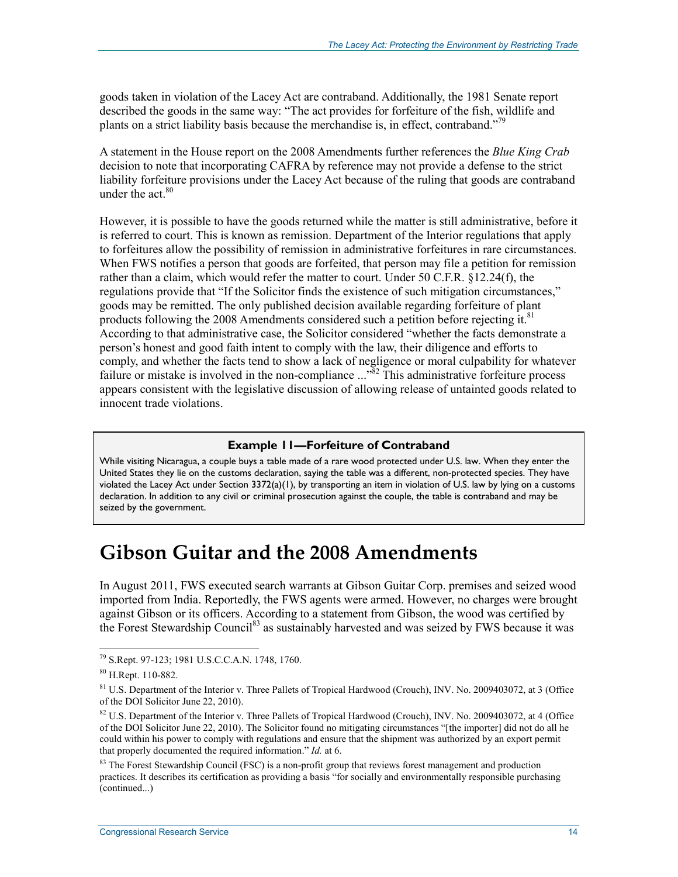goods taken in violation of the Lacey Act are contraband. Additionally, the 1981 Senate report described the goods in the same way: "The act provides for forfeiture of the fish, wildlife and plants on a strict liability basis because the merchandise is, in effect, contraband."<sup>79</sup>

A statement in the House report on the 2008 Amendments further references the *Blue King Crab* decision to note that incorporating CAFRA by reference may not provide a defense to the strict liability forfeiture provisions under the Lacey Act because of the ruling that goods are contraband under the act  $80$ 

However, it is possible to have the goods returned while the matter is still administrative, before it is referred to court. This is known as remission. Department of the Interior regulations that apply to forfeitures allow the possibility of remission in administrative forfeitures in rare circumstances. When FWS notifies a person that goods are forfeited, that person may file a petition for remission rather than a claim, which would refer the matter to court. Under 50 C.F.R. §12.24(f), the regulations provide that "If the Solicitor finds the existence of such mitigation circumstances," goods may be remitted. The only published decision available regarding forfeiture of plant products following the 2008 Amendments considered such a petition before rejecting it. $81$ According to that administrative case, the Solicitor considered "whether the facts demonstrate a person's honest and good faith intent to comply with the law, their diligence and efforts to comply, and whether the facts tend to show a lack of negligence or moral culpability for whatever failure or mistake is involved in the non-compliance ..."<sup>82</sup> This administrative forfeiture process appears consistent with the legislative discussion of allowing release of untainted goods related to innocent trade violations.

#### **Example 11—Forfeiture of Contraband**

While visiting Nicaragua, a couple buys a table made of a rare wood protected under U.S. law. When they enter the United States they lie on the customs declaration, saying the table was a different, non-protected species. They have violated the Lacey Act under Section 3372(a)(1), by transporting an item in violation of U.S. law by lying on a customs declaration. In addition to any civil or criminal prosecution against the couple, the table is contraband and may be seized by the government.

## **Gibson Guitar and the 2008 Amendments**

In August 2011, FWS executed search warrants at Gibson Guitar Corp. premises and seized wood imported from India. Reportedly, the FWS agents were armed. However, no charges were brought against Gibson or its officers. According to a statement from Gibson, the wood was certified by the Forest Stewardship Council<sup>83</sup> as sustainably harvested and was seized by FWS because it was

<sup>79</sup> S.Rept. 97-123; 1981 U.S.C.C.A.N. 1748, 1760.

<sup>80</sup> H.Rept. 110-882.

<sup>&</sup>lt;sup>81</sup> U.S. Department of the Interior v. Three Pallets of Tropical Hardwood (Crouch), INV. No. 2009403072, at 3 (Office of the DOI Solicitor June 22, 2010).

 $82$  U.S. Department of the Interior v. Three Pallets of Tropical Hardwood (Crouch), INV. No. 2009403072, at 4 (Office of the DOI Solicitor June 22, 2010). The Solicitor found no mitigating circumstances "[the importer] did not do all he could within his power to comply with regulations and ensure that the shipment was authorized by an export permit that properly documented the required information." *Id.* at 6.

 $83$  The Forest Stewardship Council (FSC) is a non-profit group that reviews forest management and production practices. It describes its certification as providing a basis "for socially and environmentally responsible purchasing (continued...)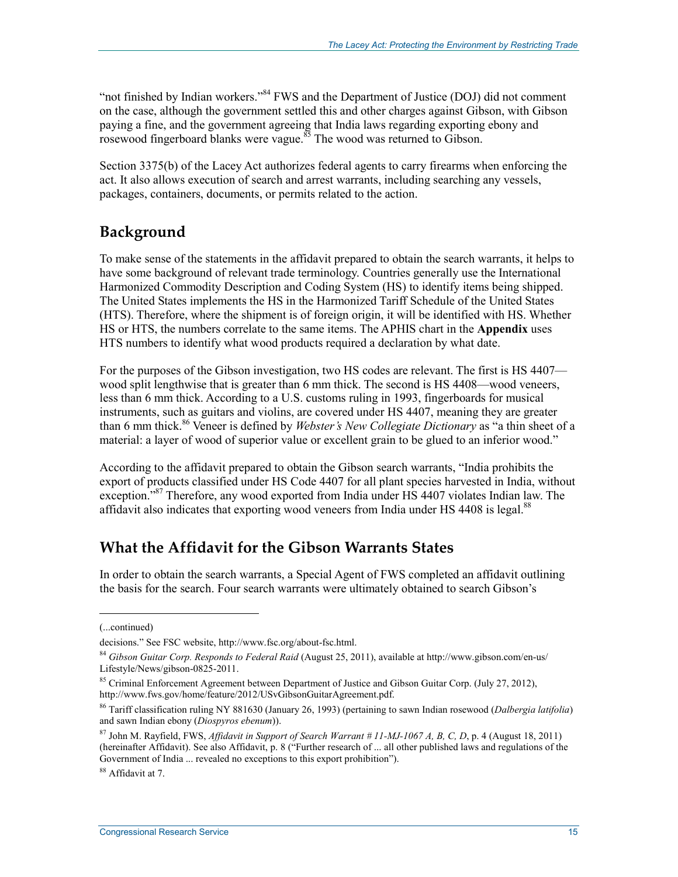"not finished by Indian workers."<sup>84</sup> FWS and the Department of Justice (DOJ) did not comment on the case, although the government settled this and other charges against Gibson, with Gibson paying a fine, and the government agreeing that India laws regarding exporting ebony and ray gain gerboard blanks were vague.<sup>85</sup> The wood was returned to Gibson.

Section 3375(b) of the Lacey Act authorizes federal agents to carry firearms when enforcing the act. It also allows execution of search and arrest warrants, including searching any vessels, packages, containers, documents, or permits related to the action.

### **Background**

To make sense of the statements in the affidavit prepared to obtain the search warrants, it helps to have some background of relevant trade terminology. Countries generally use the International Harmonized Commodity Description and Coding System (HS) to identify items being shipped. The United States implements the HS in the Harmonized Tariff Schedule of the United States (HTS). Therefore, where the shipment is of foreign origin, it will be identified with HS. Whether HS or HTS, the numbers correlate to the same items. The APHIS chart in the **Appendix** uses HTS numbers to identify what wood products required a declaration by what date.

For the purposes of the Gibson investigation, two HS codes are relevant. The first is HS 4407 wood split lengthwise that is greater than 6 mm thick. The second is HS 4408—wood veneers, less than 6 mm thick. According to a U.S. customs ruling in 1993, fingerboards for musical instruments, such as guitars and violins, are covered under HS 4407, meaning they are greater than 6 mm thick.<sup>86</sup> Veneer is defined by *Webster's New Collegiate Dictionary* as "a thin sheet of a material: a layer of wood of superior value or excellent grain to be glued to an inferior wood."

According to the affidavit prepared to obtain the Gibson search warrants, "India prohibits the export of products classified under HS Code 4407 for all plant species harvested in India, without exception."<sup>87</sup> Therefore, any wood exported from India under HS 4407 violates Indian law. The affidavit also indicates that exporting wood veneers from India under HS  $4408$  is legal.<sup>88</sup>

### **What the Affidavit for the Gibson Warrants States**

In order to obtain the search warrants, a Special Agent of FWS completed an affidavit outlining the basis for the search. Four search warrants were ultimately obtained to search Gibson's

<sup>(...</sup>continued)

decisions." See FSC website, http://www.fsc.org/about-fsc.html.

<sup>84</sup> *Gibson Guitar Corp. Responds to Federal Raid* (August 25, 2011), available at http://www.gibson.com/en-us/ Lifestyle/News/gibson-0825-2011.

<sup>85</sup> Criminal Enforcement Agreement between Department of Justice and Gibson Guitar Corp. (July 27, 2012), http://www.fws.gov/home/feature/2012/USvGibsonGuitarAgreement.pdf.

<sup>86</sup> Tariff classification ruling NY 881630 (January 26, 1993) (pertaining to sawn Indian rosewood (*Dalbergia latifolia*) and sawn Indian ebony (*Diospyros ebenum*)).

<sup>87</sup> John M. Rayfield, FWS, *Affidavit in Support of Search Warrant # 11-MJ-1067 A, B, C, D*, p. 4 (August 18, 2011) (hereinafter Affidavit). See also Affidavit, p. 8 ("Further research of ... all other published laws and regulations of the Government of India ... revealed no exceptions to this export prohibition").

<sup>88</sup> Affidavit at 7.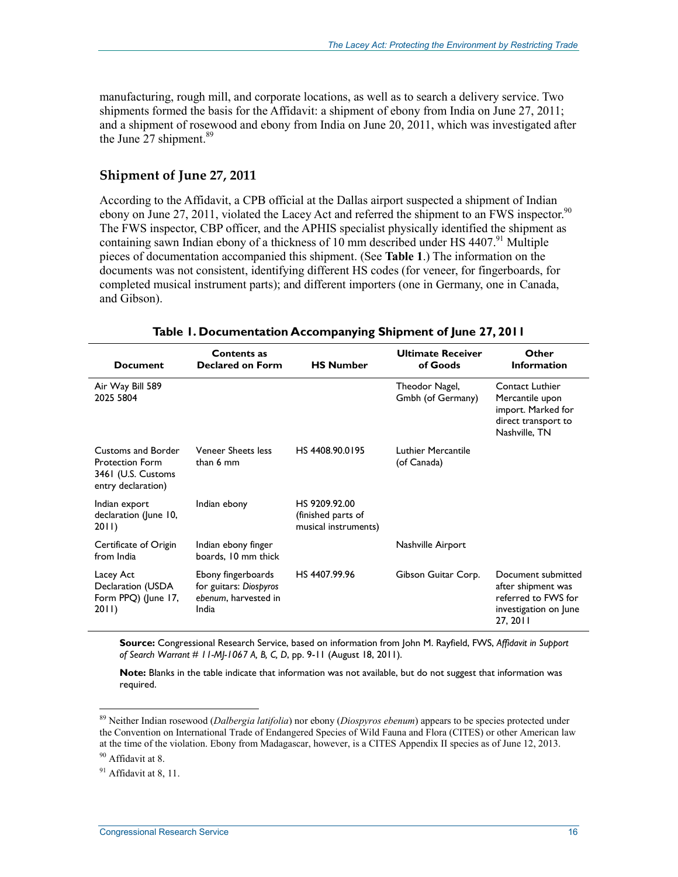manufacturing, rough mill, and corporate locations, as well as to search a delivery service. Two shipments formed the basis for the Affidavit: a shipment of ebony from India on June 27, 2011; and a shipment of rosewood and ebony from India on June 20, 2011, which was investigated after the June 27 shipment. $89$ 

#### **Shipment of June 27, 2011**

According to the Affidavit, a CPB official at the Dallas airport suspected a shipment of Indian ebony on June 27, 2011, violated the Lacey Act and referred the shipment to an FWS inspector.<sup>90</sup> The FWS inspector, CBP officer, and the APHIS specialist physically identified the shipment as containing sawn Indian ebony of a thickness of  $10 \text{ mm}$  described under HS 4407.<sup>91</sup> Multiple pieces of documentation accompanied this shipment. (See **Table 1**.) The information on the documents was not consistent, identifying different HS codes (for veneer, for fingerboards, for completed musical instrument parts); and different importers (one in Germany, one in Canada, and Gibson).

| <b>Document</b>                                                                          | <b>Contents as</b><br><b>Declared on Form</b>                                 | <b>HS Number</b>                                            | <b>Ultimate Receiver</b><br>of Goods | Other<br><b>Information</b>                                                                          |
|------------------------------------------------------------------------------------------|-------------------------------------------------------------------------------|-------------------------------------------------------------|--------------------------------------|------------------------------------------------------------------------------------------------------|
| Air Way Bill 589<br>2025 5804                                                            |                                                                               |                                                             | Theodor Nagel,<br>Gmbh (of Germany)  | Contact Luthier<br>Mercantile upon<br>import. Marked for<br>direct transport to<br>Nashville, TN     |
| Customs and Border<br><b>Protection Form</b><br>3461 (U.S. Customs<br>entry declaration) | <b>Veneer Sheets less</b><br>than 6 mm                                        | HS4408.90.0195                                              | Luthier Mercantile<br>(of Canada)    |                                                                                                      |
| Indian export<br>declaration (June 10,<br>2011)                                          | Indian ebony                                                                  | HS 9209.92.00<br>(finished parts of<br>musical instruments) |                                      |                                                                                                      |
| Certificate of Origin<br>from India                                                      | Indian ebony finger<br>boards, 10 mm thick                                    |                                                             | Nashville Airport                    |                                                                                                      |
| Lacey Act<br>Declaration (USDA<br>Form PPQ) (June 17,<br>2011)                           | Ebony fingerboards<br>for guitars: Diospyros<br>ebenum, harvested in<br>India | HS 4407.99.96                                               | Gibson Guitar Corp.                  | Document submitted<br>after shipment was<br>referred to FWS for<br>investigation on June<br>27, 2011 |

#### **Table 1. Documentation Accompanying Shipment of June 27, 2011**

**Source:** Congressional Research Service, based on information from John M. Rayfield, FWS, *Affidavit in Support of Search Warrant # 11-MJ-1067 A, B, C, D*, pp. 9-11 (August 18, 2011).

**Note:** Blanks in the table indicate that information was not available, but do not suggest that information was required.

<sup>89</sup> Neither Indian rosewood (*Dalbergia latifolia*) nor ebony (*Diospyros ebenum*) appears to be species protected under the Convention on International Trade of Endangered Species of Wild Fauna and Flora (CITES) or other American law at the time of the violation. Ebony from Madagascar, however, is a CITES Appendix II species as of June 12, 2013.

<sup>90</sup> Affidavit at 8.

 $91$  Affidavit at 8, 11.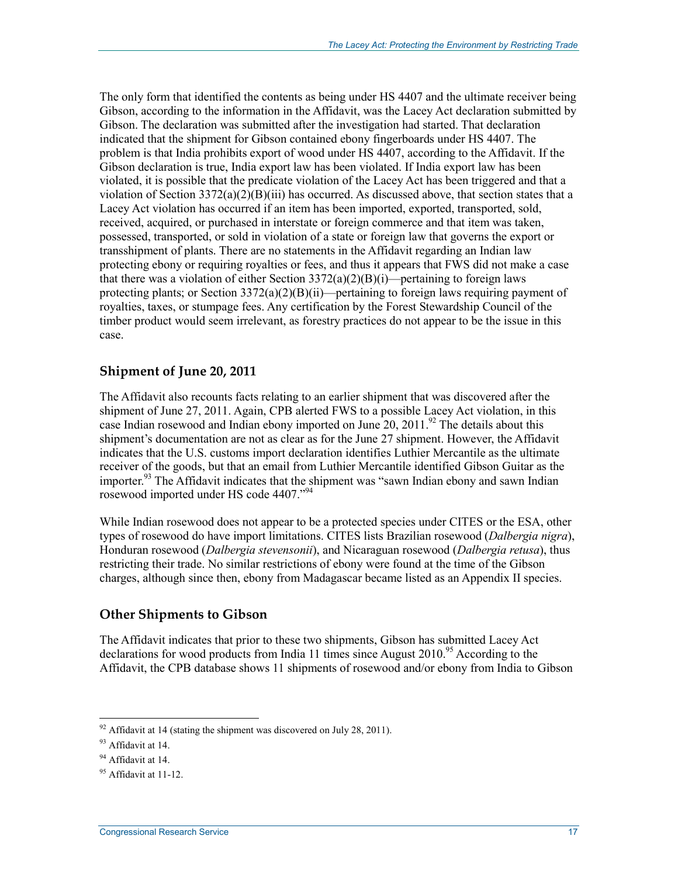The only form that identified the contents as being under HS 4407 and the ultimate receiver being Gibson, according to the information in the Affidavit, was the Lacey Act declaration submitted by Gibson. The declaration was submitted after the investigation had started. That declaration indicated that the shipment for Gibson contained ebony fingerboards under HS 4407. The problem is that India prohibits export of wood under HS 4407, according to the Affidavit. If the Gibson declaration is true, India export law has been violated. If India export law has been violated, it is possible that the predicate violation of the Lacey Act has been triggered and that a violation of Section 3372(a)(2)(B)(iii) has occurred. As discussed above, that section states that a Lacey Act violation has occurred if an item has been imported, exported, transported, sold, received, acquired, or purchased in interstate or foreign commerce and that item was taken, possessed, transported, or sold in violation of a state or foreign law that governs the export or transshipment of plants. There are no statements in the Affidavit regarding an Indian law protecting ebony or requiring royalties or fees, and thus it appears that FWS did not make a case that there was a violation of either Section  $3372(a)(2)(B)(i)$ —pertaining to foreign laws protecting plants; or Section 3372(a)(2)(B)(ii)—pertaining to foreign laws requiring payment of royalties, taxes, or stumpage fees. Any certification by the Forest Stewardship Council of the timber product would seem irrelevant, as forestry practices do not appear to be the issue in this case.

#### **Shipment of June 20, 2011**

The Affidavit also recounts facts relating to an earlier shipment that was discovered after the shipment of June 27, 2011. Again, CPB alerted FWS to a possible Lacey Act violation, in this case Indian rosewood and Indian ebony imported on June  $20$ ,  $2011<sup>92</sup>$  The details about this shipment's documentation are not as clear as for the June 27 shipment. However, the Affidavit indicates that the U.S. customs import declaration identifies Luthier Mercantile as the ultimate receiver of the goods, but that an email from Luthier Mercantile identified Gibson Guitar as the importer.<sup>93</sup> The Affidavit indicates that the shipment was "sawn Indian ebony and sawn Indian rosewood imported under HS code 4407."<sup>94</sup>

While Indian rosewood does not appear to be a protected species under CITES or the ESA, other types of rosewood do have import limitations. CITES lists Brazilian rosewood (*Dalbergia nigra*), Honduran rosewood (*Dalbergia stevensonii*), and Nicaraguan rosewood (*Dalbergia retusa*), thus restricting their trade. No similar restrictions of ebony were found at the time of the Gibson charges, although since then, ebony from Madagascar became listed as an Appendix II species.

### **Other Shipments to Gibson**

The Affidavit indicates that prior to these two shipments, Gibson has submitted Lacey Act declarations for wood products from India 11 times since August  $2010^{95}$  According to the Affidavit, the CPB database shows 11 shipments of rosewood and/or ebony from India to Gibson

 $92$  Affidavit at 14 (stating the shipment was discovered on July 28, 2011).

<sup>93</sup> Affidavit at 14.

<sup>&</sup>lt;sup>94</sup> Affidavit at 14.

 $95$  Affidavit at 11-12.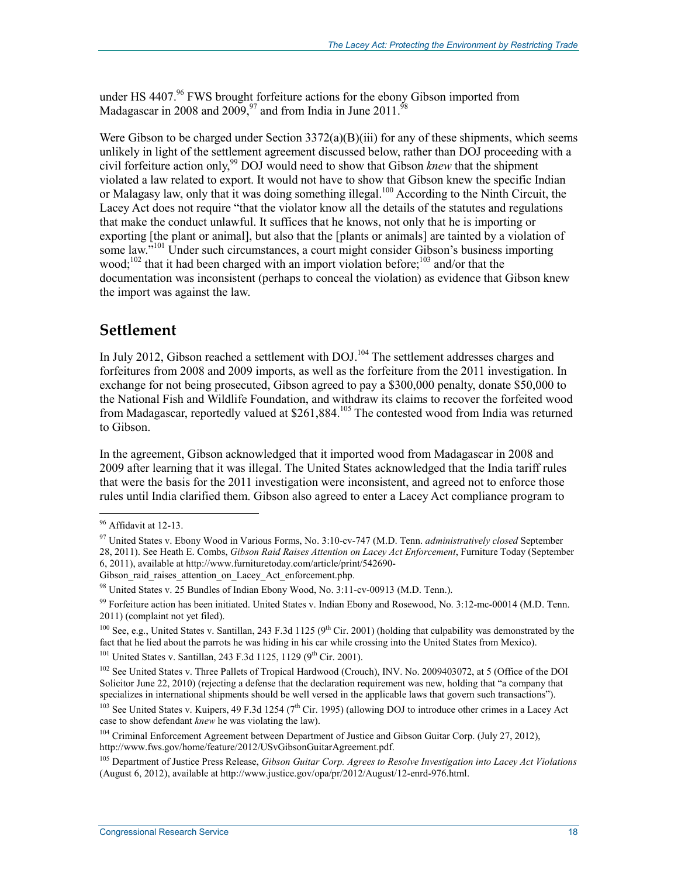under HS  $4407<sup>96</sup>$  FWS brought forfeiture actions for the ebony Gibson imported from Madagascar in 2008 and 2009,  $97$  and from India in June 2011.

Were Gibson to be charged under Section 3372(a)(B)(iii) for any of these shipments, which seems unlikely in light of the settlement agreement discussed below, rather than DOJ proceeding with a civil forfeiture action only.<sup>99</sup> DOJ would need to show that Gibson *knew* that the shipment violated a law related to export. It would not have to show that Gibson knew the specific Indian or Malagasy law, only that it was doing something illegal.<sup>100</sup> According to the Ninth Circuit, the Lacey Act does not require "that the violator know all the details of the statutes and regulations that make the conduct unlawful. It suffices that he knows, not only that he is importing or exporting [the plant or animal], but also that the [plants or animals] are tainted by a violation of some law.<sup>7101</sup> Under such circumstances, a court might consider Gibson's business importing wood;<sup>102</sup> that it had been charged with an import violation before;<sup>103</sup> and/or that the documentation was inconsistent (perhaps to conceal the violation) as evidence that Gibson knew the import was against the law.

### **Settlement**

In July 2012, Gibson reached a settlement with DOJ.<sup>104</sup> The settlement addresses charges and forfeitures from 2008 and 2009 imports, as well as the forfeiture from the 2011 investigation. In exchange for not being prosecuted, Gibson agreed to pay a \$300,000 penalty, donate \$50,000 to the National Fish and Wildlife Foundation, and withdraw its claims to recover the forfeited wood from Madagascar, reportedly valued at \$261,884.105 The contested wood from India was returned to Gibson.

In the agreement, Gibson acknowledged that it imported wood from Madagascar in 2008 and 2009 after learning that it was illegal. The United States acknowledged that the India tariff rules that were the basis for the 2011 investigation were inconsistent, and agreed not to enforce those rules until India clarified them. Gibson also agreed to enter a Lacey Act compliance program to

1

<sup>101</sup> United States v. Santillan, 243 F.3d 1125, 1129 ( $9^{th}$  Cir. 2001).

<sup>102</sup> See United States v. Three Pallets of Tropical Hardwood (Crouch), INV. No. 2009403072, at 5 (Office of the DOI Solicitor June 22, 2010) (rejecting a defense that the declaration requirement was new, holding that "a company that specializes in international shipments should be well versed in the applicable laws that govern such transactions").

<sup>103</sup> See United States v. Kuipers, 49 F.3d 1254 (7<sup>th</sup> Cir. 1995) (allowing DOJ to introduce other crimes in a Lacey Act case to show defendant *knew* he was violating the law).

<sup>104</sup> Criminal Enforcement Agreement between Department of Justice and Gibson Guitar Corp. (July 27, 2012), http://www.fws.gov/home/feature/2012/USvGibsonGuitarAgreement.pdf.

105 Department of Justice Press Release, *Gibson Guitar Corp. Agrees to Resolve Investigation into Lacey Act Violations* (August 6, 2012), available at http://www.justice.gov/opa/pr/2012/August/12-enrd-976.html.

<sup>&</sup>lt;sup>96</sup> Affidavit at 12-13.

<sup>97</sup> United States v. Ebony Wood in Various Forms, No. 3:10-cv-747 (M.D. Tenn. *administratively closed* September 28, 2011). See Heath E. Combs, *Gibson Raid Raises Attention on Lacey Act Enforcement*, Furniture Today (September 6, 2011), available at http://www.furnituretoday.com/article/print/542690-

Gibson raid raises attention on Lacey Act enforcement.php.

<sup>98</sup> United States v. 25 Bundles of Indian Ebony Wood, No. 3:11-cv-00913 (M.D. Tenn.).

<sup>99</sup> Forfeiture action has been initiated. United States v. Indian Ebony and Rosewood, No. 3:12-mc-00014 (M.D. Tenn. 2011) (complaint not yet filed).

<sup>&</sup>lt;sup>100</sup> See, e.g., United States v. Santillan, 243 F.3d 1125 (9<sup>th</sup> Cir. 2001) (holding that culpability was demonstrated by the fact that he lied about the parrots he was hiding in his car while crossing into the United States from Mexico).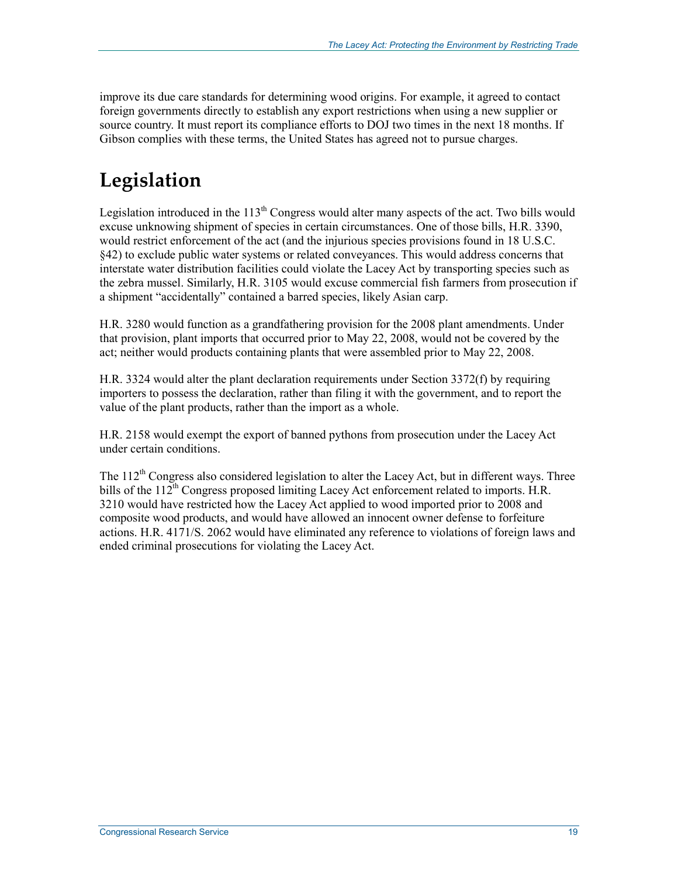improve its due care standards for determining wood origins. For example, it agreed to contact foreign governments directly to establish any export restrictions when using a new supplier or source country. It must report its compliance efforts to DOJ two times in the next 18 months. If Gibson complies with these terms, the United States has agreed not to pursue charges.

## **Legislation**

Legislation introduced in the  $113<sup>th</sup>$  Congress would alter many aspects of the act. Two bills would excuse unknowing shipment of species in certain circumstances. One of those bills, H.R. 3390, would restrict enforcement of the act (and the injurious species provisions found in 18 U.S.C. §42) to exclude public water systems or related conveyances. This would address concerns that interstate water distribution facilities could violate the Lacey Act by transporting species such as the zebra mussel. Similarly, H.R. 3105 would excuse commercial fish farmers from prosecution if a shipment "accidentally" contained a barred species, likely Asian carp.

H.R. 3280 would function as a grandfathering provision for the 2008 plant amendments. Under that provision, plant imports that occurred prior to May 22, 2008, would not be covered by the act; neither would products containing plants that were assembled prior to May 22, 2008.

H.R. 3324 would alter the plant declaration requirements under Section 3372(f) by requiring importers to possess the declaration, rather than filing it with the government, and to report the value of the plant products, rather than the import as a whole.

H.R. 2158 would exempt the export of banned pythons from prosecution under the Lacey Act under certain conditions.

The  $112<sup>th</sup>$  Congress also considered legislation to alter the Lacey Act, but in different ways. Three bills of the  $112^{th}$  Congress proposed limiting Lacey Act enforcement related to imports. H.R. 3210 would have restricted how the Lacey Act applied to wood imported prior to 2008 and composite wood products, and would have allowed an innocent owner defense to forfeiture actions. H.R. 4171/S. 2062 would have eliminated any reference to violations of foreign laws and ended criminal prosecutions for violating the Lacey Act.